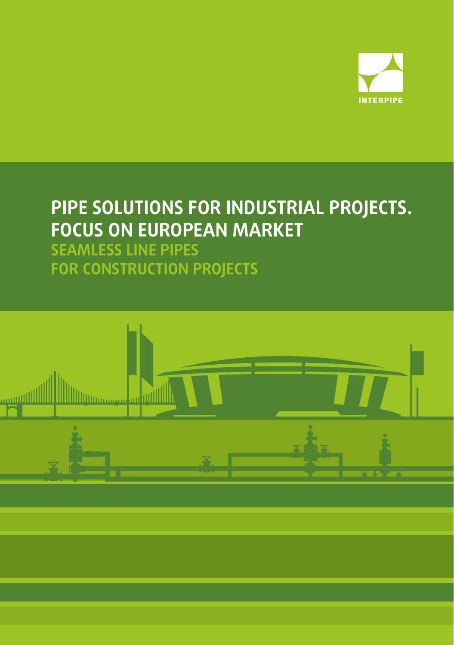

# **PIPE SOLUTIONS FOR INDUSTRIAL PROJECTS. FOCUS ON EUROPEAN MARKET**

**SEAMLESS LINE PIPES FOR CONSTRUCTION PROJECTS**

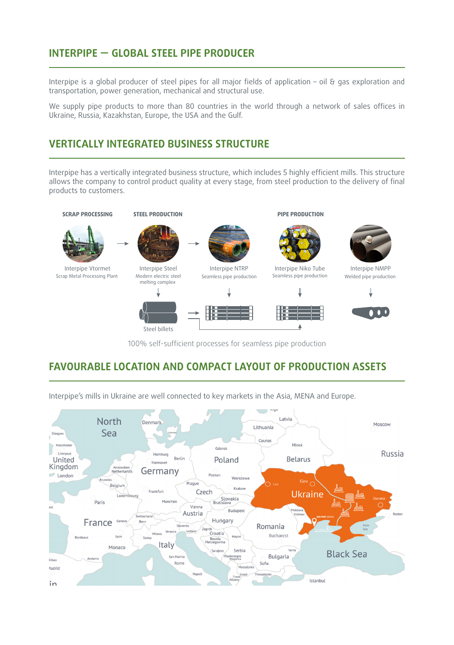# **INTERPIPE — GLOBAL STEEL PIPE PRODUCER**

Interpipe is a global producer of steel pipes for all major fields of application – oil & gas exploration and transportation, power generation, mechanical and structural use.

We supply pipe products to more than 80 countries in the world through a network of sales offices in Ukraine, Russia, Kazakhstan, Europe, the USA and the Gulf.

## **VERTICALLY INTEGRATED BUSINESS STRUCTURE**

Steel billets

Interpipe has a vertically integrated business structure, which includes 5 highly efficient mills. This structure allows the company to control product quality at every stage, from steel production to the delivery of final products to customers.



100% self-sufficient processes for seamless pipe production

A

### **FAVOURABLE LOCATION AND COMPACT LAYOUT OF PRODUCTION ASSETS**

Latvia **North** Denmark Moscow Lithuania Sea Glasgo Caunas Minsk Gdansk Russia I ivernoo Hamburg Berlin **Belarus** Poland United Hannover Kingdom Amsterdam<br>Netherlands Germany  $\Box$  London Poznar Warszawa Prague Belgium Krakov Frankfurt Czech **Ukraine** Slovakia<br>Bratislava Luxembourg Munchen Paris Vienna **Budapest** Austria itzerland Hungary France Geneve Berr Romania Slovenia Vene Croatia Milano Bucharest Lyon Bordeau Belgrad Bosnia<br>Herzegovina Italy Monacc Serbia Sarajevo **Black Sea** San Marino Montenegro Bulgaria Ando **Bilbac** Sofia Rome Macedonia Madrid Istanbul  $in$ 

Interpipe's mills in Ukraine are well connected to key markets in the Asia, MENA and Europe.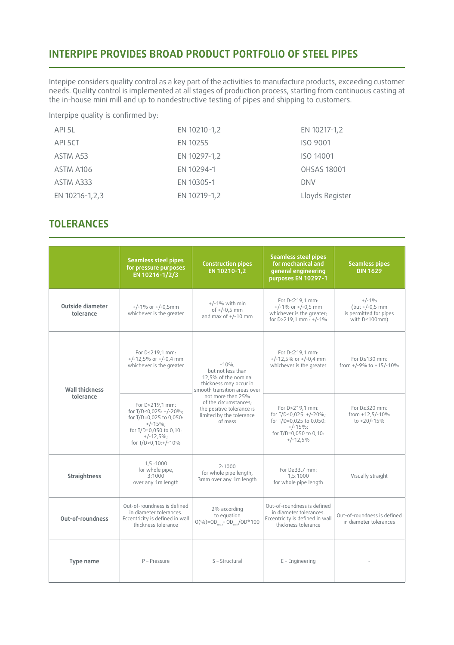### **INTERPIPE PROVIDES BROAD PRODUCT PORTFOLIO OF STEEL PIPES**

Intepipe considers quality control as a key part of the activities to manufacture products, exceeding customer needs. Quality control is implemented at all stages of production process, starting from continuous casting at the in-house mini mill and up to nondestructive testing of pipes and shipping to customers.

Interpipe quality is confirmed by:

| API 5L         | EN 10210-1,2 | EN 10217-1,2       |
|----------------|--------------|--------------------|
| API 5CT        | EN 10255     | <b>ISO 9001</b>    |
| ASTM A53       | EN 10297-1,2 | ISO 14001          |
| ASTM A106      | EN 10294-1   | <b>OHSAS 18001</b> |
| ASTM A333      | EN 10305-1   | <b>DNV</b>         |
| EN 10216-1,2,3 | EN 10219-1,2 | Lloyds Register    |

# **TOLERANCES**

|                                      | <b>Seamless steel pipes</b><br>for pressure purposes<br>EN 10216-1/2/3                                                                             | <b>Construction pipes</b><br>EN 10210-1,2                                                                       | <b>Seamless steel pipes</b><br>for mechanical and<br>general engineering<br>purposes EN 10297-1                            | <b>Seamless pipes</b><br><b>DIN 1629</b>                                      |  |  |  |
|--------------------------------------|----------------------------------------------------------------------------------------------------------------------------------------------------|-----------------------------------------------------------------------------------------------------------------|----------------------------------------------------------------------------------------------------------------------------|-------------------------------------------------------------------------------|--|--|--|
| <b>Outside diameter</b><br>tolerance | $+/-1\%$ or $+/-0.5$ mm<br>whichever is the greater                                                                                                | $+/-1\%$ with min<br>of $+/-0.5$ mm<br>and max of $+/-10$ mm                                                    | For D≤219,1 mm:<br>$+/-1\%$ or $+/-0.5$ mm<br>whichever is the greater:<br>for D>219,1 mm : +/-1%                          | $+/-1%$<br>(but +/-0,5 mm)<br>is permitted for pipes<br>with $D \leq 100$ mm) |  |  |  |
| <b>Wall thickness</b>                | For D≤219,1 mm:<br>$+/-12.5\%$ or $+/-0.4$ mm<br>whichever is the greater                                                                          | $-10%$ .<br>but not less than<br>12,5% of the nominal<br>thickness may occur in<br>smooth transition areas over | For D≤219,1 mm:<br>$+/-12.5\%$ or $+/-0.4$ mm<br>whichever is the greater                                                  | For D≤130 mm:<br>from +/-9% to +15/-10%                                       |  |  |  |
| tolerance                            | For D>219,1 mm:<br>for T/D≤0,025: +/-20%;<br>for T/D=0,025 to 0,050:<br>$+/-15\%;$<br>for T/D=0,050 to 0,10:<br>$+/-12.5\%$<br>for T/D>0,10:+/-10% | not more than 25%<br>of the circumstances;<br>the positive tolerance is<br>limited by the tolerance<br>of mass  | For D>219,1 mm:<br>for T/D≤0,025: +/-20%;<br>for T/D=0,025 to 0,050:<br>$+/-15\%;$<br>for T/D=0,050 to 0,10:<br>$+/-12,5%$ | For D≥320 mm:<br>from $+12,5/-10%$<br>to +20/-15%                             |  |  |  |
| <b>Straightness</b>                  | 1,5:1000<br>for whole pipe,<br>3:1000<br>over any 1m length                                                                                        | 2:1000<br>for whole pipe length,<br>3mm over any 1m length                                                      | For D≥33,7 mm:<br>1, 5:1000<br>for whole pipe length                                                                       | Visually straight                                                             |  |  |  |
| Out-of-roundness                     | Out-of-roundness is defined<br>in diameter tolerances.<br>Eccentricity is defined in wall<br>thickness tolerance                                   | 2% according<br>to equation<br>$O(9/6) = OD_{max} - OD_{min} / OD^* 100$                                        | Out-of-roundness is defined<br>in diameter tolerances.<br>Eccentricity is defined in wall<br>thickness tolerance           | Out-of-roundness is defined<br>in diameter tolerances                         |  |  |  |
| Type name                            | $P - Pressure$                                                                                                                                     | S - Structural                                                                                                  | $E$ – Engineering                                                                                                          |                                                                               |  |  |  |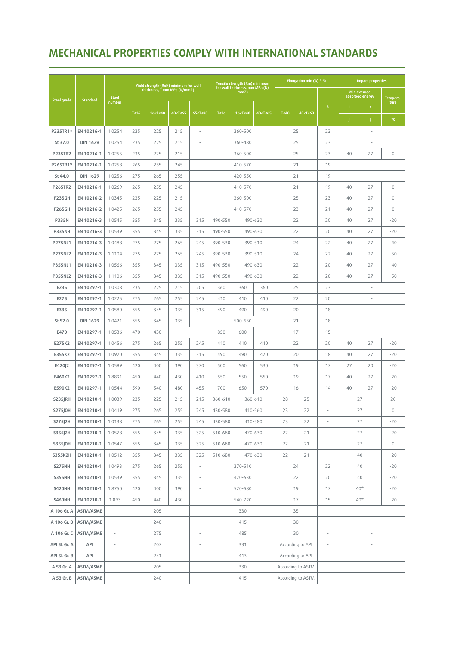# **MECHANICAL PROPERTIES COMPLY WITH INTERNATIONAL STANDARDS**

|                    |                         |                             |             | Yield strength (ReH) minimum for wall                                                                                                                                                                                                                                     |                                                                                                                                                                                                                                           |                                                                                                                                                                                                           |                    | Tensile strength (Rm) minimum                                                                                                              |                                                                                                |    | Elongation min $(A) * %$                                       |                          | <b>Impact properties</b> |                                |              |  |  |
|--------------------|-------------------------|-----------------------------|-------------|---------------------------------------------------------------------------------------------------------------------------------------------------------------------------------------------------------------------------------------------------------------------------|-------------------------------------------------------------------------------------------------------------------------------------------------------------------------------------------------------------------------------------------|-----------------------------------------------------------------------------------------------------------------------------------------------------------------------------------------------------------|--------------------|--------------------------------------------------------------------------------------------------------------------------------------------|------------------------------------------------------------------------------------------------|----|----------------------------------------------------------------|--------------------------|--------------------------|--------------------------------|--------------|--|--|
|                    |                         | <b>Steel</b>                |             | thickness, T mm MPa (N/mm2)                                                                                                                                                                                                                                               |                                                                                                                                                                                                                                           |                                                                                                                                                                                                           |                    | for wall thickness, mm MPa (N/<br>mm2)                                                                                                     |                                                                                                |    | л.                                                             |                          |                          | Min.average<br>absorbed energy | Tempera-     |  |  |
| <b>Steel grade</b> | <b>Standard</b>         | number                      |             |                                                                                                                                                                                                                                                                           |                                                                                                                                                                                                                                           |                                                                                                                                                                                                           |                    |                                                                                                                                            |                                                                                                |    |                                                                | t                        |                          | t                              | ture         |  |  |
|                    |                         |                             | $T \leq 16$ | 16 <t≤40< th=""><th>40<t≤65< th=""><th>65<t≤80< th=""><th><math>T \leq 16</math></th><th>16<t≤40< th=""><th colspan="2">40<t≤65< th=""><th>40<t≤63< th=""><th></th><th></th><th></th><th>۰c</th></t≤63<></th></t≤65<></th></t≤40<></th></t≤80<></th></t≤65<></th></t≤40<> | 40 <t≤65< th=""><th>65<t≤80< th=""><th><math>T \leq 16</math></th><th>16<t≤40< th=""><th colspan="2">40<t≤65< th=""><th>40<t≤63< th=""><th></th><th></th><th></th><th>۰c</th></t≤63<></th></t≤65<></th></t≤40<></th></t≤80<></th></t≤65<> | 65 <t≤80< th=""><th><math>T \leq 16</math></th><th>16<t≤40< th=""><th colspan="2">40<t≤65< th=""><th>40<t≤63< th=""><th></th><th></th><th></th><th>۰c</th></t≤63<></th></t≤65<></th></t≤40<></th></t≤80<> | $T \leq 16$        | 16 <t≤40< th=""><th colspan="2">40<t≤65< th=""><th>40<t≤63< th=""><th></th><th></th><th></th><th>۰c</th></t≤63<></th></t≤65<></th></t≤40<> | 40 <t≤65< th=""><th>40<t≤63< th=""><th></th><th></th><th></th><th>۰c</th></t≤63<></th></t≤65<> |    | 40 <t≤63< th=""><th></th><th></th><th></th><th>۰c</th></t≤63<> |                          |                          |                                | ۰c           |  |  |
| P235TR1*           | EN 10216-1              | 1.0254                      | 235         | 225                                                                                                                                                                                                                                                                       | 215                                                                                                                                                                                                                                       | ä,                                                                                                                                                                                                        |                    | 360-500                                                                                                                                    |                                                                                                |    | 25                                                             | 23                       | i,                       |                                |              |  |  |
| St 37.0            | <b>DIN 1629</b>         | 1.0254                      | 235         | 225                                                                                                                                                                                                                                                                       | 215                                                                                                                                                                                                                                       | ٠                                                                                                                                                                                                         |                    | 360-480                                                                                                                                    |                                                                                                |    | 25                                                             | 23                       |                          |                                |              |  |  |
| <b>P235TR2</b>     | EN 10216-1              | 1.0255                      | 235         | 225                                                                                                                                                                                                                                                                       | 215                                                                                                                                                                                                                                       | ×,                                                                                                                                                                                                        |                    | 360-500                                                                                                                                    |                                                                                                |    | 25                                                             | 23                       | 40                       | 27                             | $\mathbf 0$  |  |  |
| P265TR1*           | EN 10216-1              | 1.0258                      | 265         | 255                                                                                                                                                                                                                                                                       | 245                                                                                                                                                                                                                                       |                                                                                                                                                                                                           |                    | 410-570                                                                                                                                    |                                                                                                |    | 21                                                             | 19                       |                          |                                |              |  |  |
| St 44.0            | <b>DIN 1629</b>         | 1.0256                      | 275         | 265                                                                                                                                                                                                                                                                       | 255                                                                                                                                                                                                                                       | ×,                                                                                                                                                                                                        |                    | 420-550                                                                                                                                    |                                                                                                |    | 21                                                             | 19                       |                          |                                |              |  |  |
| <b>P265TR2</b>     | EN 10216-1              | 1.0269                      | 265         | 255                                                                                                                                                                                                                                                                       | 245                                                                                                                                                                                                                                       |                                                                                                                                                                                                           |                    | 410-570                                                                                                                                    |                                                                                                |    | 21                                                             | 19                       | 40                       | 27                             | $\mathbf{0}$ |  |  |
| <b>P235GH</b>      | EN 10216-2              | 1.0345                      | 235         | 225                                                                                                                                                                                                                                                                       | 215                                                                                                                                                                                                                                       | $\sim$                                                                                                                                                                                                    |                    | 360-500                                                                                                                                    |                                                                                                |    | 25                                                             | 23                       | 40                       | 27                             | $\mathbf 0$  |  |  |
| <b>P265GH</b>      | EN 10216-2              | 1.0425                      | 265         | 255                                                                                                                                                                                                                                                                       | 245                                                                                                                                                                                                                                       | ÷,                                                                                                                                                                                                        |                    | 410-570                                                                                                                                    |                                                                                                |    | 23                                                             | 21                       | 40                       | 27                             | $\mathbf{0}$ |  |  |
| <b>P335N</b>       | EN 10216-3              | 1.0545                      | 355         | 345                                                                                                                                                                                                                                                                       | 335                                                                                                                                                                                                                                       | 315                                                                                                                                                                                                       | 490-550            |                                                                                                                                            | 490-630                                                                                        |    | 22                                                             | 20                       | 40                       | 27                             | $-20$        |  |  |
| P335NH             | EN 10216-3              | 1.0539                      | 355         | 345                                                                                                                                                                                                                                                                       | 335                                                                                                                                                                                                                                       | 315                                                                                                                                                                                                       | 490-550            |                                                                                                                                            | 490-630                                                                                        |    | 22                                                             | 20                       | 40                       | 27                             | $-20$        |  |  |
| <b>P275NL1</b>     | EN 10216-3              | 1.0488                      | 275         | 275                                                                                                                                                                                                                                                                       | 265                                                                                                                                                                                                                                       | 245                                                                                                                                                                                                       | 390-530            |                                                                                                                                            | 390-510                                                                                        |    | 24                                                             | 22                       | 40                       | 27                             | $-40$        |  |  |
| <b>P275NL2</b>     | EN 10216-3              | 1.1104                      | 275         | 275                                                                                                                                                                                                                                                                       | 265                                                                                                                                                                                                                                       | 245                                                                                                                                                                                                       | 390-530            |                                                                                                                                            | 390-510                                                                                        |    | 24                                                             | 22                       | 40                       | 27                             | $-50$        |  |  |
| <b>P355NL1</b>     | EN 10216-3              | 1.0566                      | 355         | 345                                                                                                                                                                                                                                                                       | 335                                                                                                                                                                                                                                       | 315                                                                                                                                                                                                       | 490-550            |                                                                                                                                            | 490-630                                                                                        |    | 22                                                             | 20                       | 40                       | 27                             | $-40$        |  |  |
| <b>P355NL2</b>     | EN 10216-3              | 1.1106                      | 355         | 345                                                                                                                                                                                                                                                                       | 335                                                                                                                                                                                                                                       | 315                                                                                                                                                                                                       | 490-550<br>490-630 |                                                                                                                                            |                                                                                                | 22 |                                                                | 20                       | 40                       | 27                             | $-50$        |  |  |
| E235               | EN 10297-1              | 1.0308                      | 235         | 225                                                                                                                                                                                                                                                                       | 215                                                                                                                                                                                                                                       | 205                                                                                                                                                                                                       | 360<br>360<br>360  |                                                                                                                                            | 25                                                                                             |    | 23                                                             |                          |                          |                                |              |  |  |
| E275               | EN 10297-1              | 1.0225                      | 275         | 265                                                                                                                                                                                                                                                                       | 255                                                                                                                                                                                                                                       | 245                                                                                                                                                                                                       | 410                | 410<br>410                                                                                                                                 |                                                                                                | 22 |                                                                | 20                       |                          |                                |              |  |  |
| E335               | EN 10297-1              | 1.0580                      | 355         | 345                                                                                                                                                                                                                                                                       | 335                                                                                                                                                                                                                                       | 315                                                                                                                                                                                                       | 490                | 490                                                                                                                                        | 490                                                                                            | 20 |                                                                | 18                       |                          |                                |              |  |  |
| St 52.0            | <b>DIN 1629</b>         | 1.0421                      | 355         | 345                                                                                                                                                                                                                                                                       | 335                                                                                                                                                                                                                                       | ÷,                                                                                                                                                                                                        |                    | 500-650                                                                                                                                    |                                                                                                | 21 |                                                                | 18                       |                          |                                |              |  |  |
| E470               | EN 10297-1              | 1.0536                      | 470         | 430                                                                                                                                                                                                                                                                       |                                                                                                                                                                                                                                           |                                                                                                                                                                                                           | 850                | 600                                                                                                                                        | ×,                                                                                             | 17 |                                                                | 15                       |                          |                                |              |  |  |
| E275K2             | EN 10297-1              | 1.0456                      | 275         | 265                                                                                                                                                                                                                                                                       | 255                                                                                                                                                                                                                                       | 245                                                                                                                                                                                                       | 410                | 410                                                                                                                                        | 410                                                                                            | 22 |                                                                | 20                       | 40                       | 27                             | $-20$        |  |  |
| E355K2             | EN 10297-1              | 1.0920                      | 355         | 345                                                                                                                                                                                                                                                                       | 335                                                                                                                                                                                                                                       | 315                                                                                                                                                                                                       | 490                | 490                                                                                                                                        | 470                                                                                            |    | 20                                                             | 18                       | 40                       | 27                             | $-20$        |  |  |
| E420J2             | EN 10297-1              | 1.0599                      | 420         | 400                                                                                                                                                                                                                                                                       | 390                                                                                                                                                                                                                                       | 370                                                                                                                                                                                                       | 500                | 560                                                                                                                                        | 530                                                                                            | 19 |                                                                | 17                       | 27                       | 20                             | $-20$        |  |  |
| E460K2             | EN 10297-1              | 1.8891                      | 450         | 440                                                                                                                                                                                                                                                                       | 430                                                                                                                                                                                                                                       | 410                                                                                                                                                                                                       | 550                | 550                                                                                                                                        | 550                                                                                            |    | 19                                                             | 17                       | 40                       | 27                             | $-20$        |  |  |
| E590K2             | EN 10297-1              | 1.0544                      | 590         | 540                                                                                                                                                                                                                                                                       | 480                                                                                                                                                                                                                                       | 455                                                                                                                                                                                                       | 700                | 650                                                                                                                                        | 570                                                                                            |    | 16                                                             | 14                       | 40                       | 27                             | $-20$        |  |  |
| <b>S235JRH</b>     | EN 10210-1              | 1.0039                      | 235         | 225                                                                                                                                                                                                                                                                       | 215                                                                                                                                                                                                                                       | 215                                                                                                                                                                                                       | 360-610            |                                                                                                                                            | 360-610                                                                                        | 28 | 25                                                             | $\sim$                   |                          | 27                             | 20           |  |  |
| <b>S275J0H</b>     | EN 10210-1              | 1.0419                      | 275         | 265                                                                                                                                                                                                                                                                       | 255                                                                                                                                                                                                                                       | 245                                                                                                                                                                                                       | 430-580            |                                                                                                                                            | 410-560                                                                                        | 23 | 22                                                             | $\overline{\phantom{a}}$ |                          | 27                             | $\mathbb O$  |  |  |
| S275J2H            | EN 10210-1              | 1.0138                      | 275         | 265                                                                                                                                                                                                                                                                       | 255                                                                                                                                                                                                                                       | 245                                                                                                                                                                                                       | 430-580            |                                                                                                                                            | 410-580                                                                                        | 23 | 22                                                             | $\overline{\phantom{a}}$ |                          | 27                             | $-20$        |  |  |
| S355J2H            | EN 10210-1              | 1.0578                      | 355         | 345                                                                                                                                                                                                                                                                       | 335                                                                                                                                                                                                                                       | 325                                                                                                                                                                                                       | 510-680            |                                                                                                                                            | 470-630                                                                                        | 22 | 21                                                             | $\overline{\phantom{a}}$ |                          | 27                             | $-20$        |  |  |
| <b>S355J0H</b>     | EN 10210-1              | 1.0547                      | 355         | 345                                                                                                                                                                                                                                                                       | 335                                                                                                                                                                                                                                       | 325                                                                                                                                                                                                       | 510-680            |                                                                                                                                            | 470-630                                                                                        | 22 | 21                                                             | $\overline{\phantom{a}}$ |                          | 27                             | $\circ$      |  |  |
| <b>S355K2H</b>     | EN 10210-1              | 1.0512                      | 355         | 345                                                                                                                                                                                                                                                                       | 335                                                                                                                                                                                                                                       | 325                                                                                                                                                                                                       | 510-680            |                                                                                                                                            | 470-630                                                                                        | 22 | 21                                                             | $\overline{\phantom{a}}$ |                          | 40                             | $-20$        |  |  |
| <b>S275NH</b>      | EN 10210-1              | 1.0493                      | 275         | 265                                                                                                                                                                                                                                                                       | 255                                                                                                                                                                                                                                       | $\overline{\phantom{a}}$                                                                                                                                                                                  |                    | 370-510                                                                                                                                    |                                                                                                |    | 24                                                             | 22                       |                          | 40                             | $-20$        |  |  |
| <b>S355NH</b>      | EN 10210-1              | 1.0539                      | 355         | 345                                                                                                                                                                                                                                                                       | 335                                                                                                                                                                                                                                       | $\overline{\phantom{a}}$                                                                                                                                                                                  |                    | 470-630                                                                                                                                    |                                                                                                |    | 22                                                             | 20                       |                          | 40                             | $-20$        |  |  |
| <b>S420NH</b>      | EN 10210-1              | 1.8750                      | 420         | 400                                                                                                                                                                                                                                                                       | 390                                                                                                                                                                                                                                       | $\overline{\phantom{a}}$                                                                                                                                                                                  |                    | 520-680                                                                                                                                    |                                                                                                |    | 19                                                             | 17                       |                          | $40*$                          | $-20$        |  |  |
| <b>S460NH</b>      | EN 10210-1              | 1.893                       | 450         | 440                                                                                                                                                                                                                                                                       | 430                                                                                                                                                                                                                                       | $\overline{\phantom{a}}$                                                                                                                                                                                  |                    | 540-720                                                                                                                                    |                                                                                                |    | 17                                                             | 15                       |                          | $40*$                          | $-20$        |  |  |
| A 106 Gr. A        | ASTM/ASME               | $\sim$                      |             | 205                                                                                                                                                                                                                                                                       |                                                                                                                                                                                                                                           | $\bar{\phantom{a}}$                                                                                                                                                                                       |                    | 330                                                                                                                                        |                                                                                                |    | 35                                                             | ÷                        |                          | ÷,                             |              |  |  |
|                    | A 106 Gr. B   ASTM/ASME | ÷.                          |             | 240                                                                                                                                                                                                                                                                       |                                                                                                                                                                                                                                           | $\overline{\phantom{a}}$                                                                                                                                                                                  |                    | 415                                                                                                                                        |                                                                                                |    | 30                                                             | $\overline{\phantom{a}}$ |                          |                                |              |  |  |
| A 106 Gr. C        | ASTM/ASME               | $\sim$                      |             | 275                                                                                                                                                                                                                                                                       |                                                                                                                                                                                                                                           | $\overline{\phantom{a}}$                                                                                                                                                                                  |                    | 485                                                                                                                                        |                                                                                                |    | 30                                                             | $\bar{z}$                |                          | $\overline{\phantom{a}}$       |              |  |  |
| API 5L Gr. A       | API                     | $\mathcal{L}_{\mathcal{A}}$ |             | 207                                                                                                                                                                                                                                                                       |                                                                                                                                                                                                                                           | $\overline{\phantom{a}}$                                                                                                                                                                                  |                    | 331                                                                                                                                        |                                                                                                |    | According to API                                               | $\overline{\phantom{a}}$ |                          | i.                             |              |  |  |
| API 5L Gr. B       | API                     | $\mathcal{L}_{\mathcal{A}}$ |             | 241                                                                                                                                                                                                                                                                       |                                                                                                                                                                                                                                           | $\overline{\phantom{a}}$                                                                                                                                                                                  |                    | 413                                                                                                                                        |                                                                                                |    | According to API                                               | $\overline{\phantom{a}}$ |                          | ä,                             |              |  |  |
| A 53 Gr. A         | ASTM/ASME               | $\overline{\phantom{a}}$    |             | 205                                                                                                                                                                                                                                                                       |                                                                                                                                                                                                                                           | $\overline{\phantom{a}}$                                                                                                                                                                                  |                    | 330                                                                                                                                        |                                                                                                |    | According to ASTM                                              | $\overline{\phantom{a}}$ |                          | $\overline{\phantom{a}}$       |              |  |  |
| A 53 Gr. B         | ASTM/ASME               | ÷,                          |             | 240                                                                                                                                                                                                                                                                       |                                                                                                                                                                                                                                           | ÷,                                                                                                                                                                                                        |                    | 415                                                                                                                                        |                                                                                                |    | According to ASTM                                              | ÷,                       | $\overline{\phantom{a}}$ |                                |              |  |  |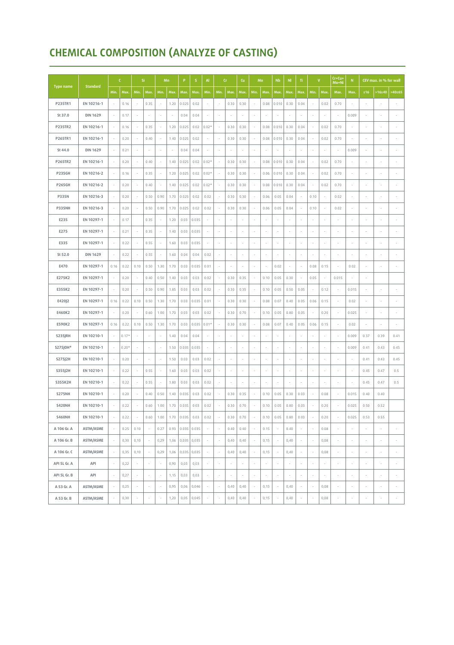# **CHEMICAL COMPOSITION (ANALYZE OF CASTING)**

|                  |                 | $\mathsf{C}$ |         | Si                       |                          | Mn                       |        | $\mathsf{P}$ | S.            | $\mathsf{Al}$<br>Cr      |      | Cu     | $\mathsf{Mo}% _{\mathsf{C}}\left( \mathcal{N}\right) \equiv\mathsf{Mo}_{\mathsf{C}}\left( \mathcal{N}\right)$ |                          | N <sub>b</sub> | <b>NI</b>                |                          | $\mathbf{V}$             |                          | Cr+Cu+<br>N<br>Mo+N      |                          | CEV max. in % for wall   |                          |        |                          |
|------------------|-----------------|--------------|---------|--------------------------|--------------------------|--------------------------|--------|--------------|---------------|--------------------------|------|--------|---------------------------------------------------------------------------------------------------------------|--------------------------|----------------|--------------------------|--------------------------|--------------------------|--------------------------|--------------------------|--------------------------|--------------------------|--------------------------|--------|--------------------------|
| <b>Type name</b> | <b>Standard</b> | Min.         | Max.    | Min.                     | Max.                     | Min.                     | Max.   | Max.         | Max.          | Min.                     | Min. | Max.   | Max.                                                                                                          | Min.                     | Max.           | Max.                     | Max.                     | Max.                     | Min.                     | Max.                     | Max.                     | Max.                     | $\leq 16$                | >16240 | $>40 \ge 65$             |
| P235TR1          | EN 10216-1      |              | 0.16    |                          | 0.35                     | $\overline{\phantom{a}}$ | 1.20   | 0.025        | 0.02          |                          |      | 0.30   | 0.30                                                                                                          | $\overline{\phantom{a}}$ | 0.08           | 0.010                    | 0.30                     | 0.04                     | $\sim$                   | 0.02                     | 0.70                     |                          |                          |        |                          |
| St 37.0          | <b>DIN 1629</b> |              | 0.17    |                          | ×,                       |                          | $\sim$ | 0.04         | 0.04          | i,                       |      |        |                                                                                                               | ٠                        |                | ×                        |                          | ٠                        |                          | ٠                        |                          | 0.009                    | ٠                        |        |                          |
| <b>P235TR2</b>   | EN 10216-1      |              | 0.16    |                          | 0.35                     |                          | 1.20   | 0.025        | 0.02          | $0.02*$                  |      | 0.30   | 0.30                                                                                                          | ٠                        | 0.08           | 0.010                    | 0.30                     | 0.04                     |                          | 0.02                     | 0.70                     |                          |                          |        |                          |
| P265TR1          | EN 10216-1      |              | 0.20    |                          | 0.40                     |                          | 1.40   | 0.025        | 0.02          | ×                        |      | 0.30   | 0.30                                                                                                          | ×                        | 0.08           | 0.010                    | 0.30                     | 0.04                     | ٠                        | 0.02                     | 0.70                     |                          |                          |        |                          |
| St 44.0          | <b>DIN 1629</b> |              | 0.21    |                          | $\overline{\phantom{a}}$ |                          | $\sim$ | 0.04         | 0.04          | ×                        |      |        |                                                                                                               |                          |                | ×                        |                          |                          |                          | ٠                        |                          | 0.009                    |                          |        |                          |
| P265TR2          | EN 10216-1      |              | 0.20    |                          | 0.40                     |                          | 1.40   | 0.025        | 0.02          | $0.02*$                  |      | 0.30   | 0.30                                                                                                          | $\overline{\phantom{a}}$ | 0.08           | 0.010                    | 0.30                     | 0.04                     |                          | 0.02                     | 0.70                     |                          |                          |        |                          |
| <b>P235GH</b>    | EN 10216-2      |              | 0.16    |                          | 0.35                     | $\overline{\phantom{a}}$ | 1.20   | 0.025        | 0.02          | $0.02*$                  |      | 0.30   | 0.30                                                                                                          | $\overline{\phantom{a}}$ | 0.06           | 0.010                    | 0.30                     | 0.04                     | $\overline{\phantom{a}}$ | 0.02                     | 0.70                     | ï                        |                          |        |                          |
| <b>P265GH</b>    | EN 10216-2      |              | 0.20    | ÷                        | 0.40                     | $\overline{\phantom{a}}$ | 1.40   | 0.025        | 0.02          | $0.02*$                  |      | 0.30   | 0.30                                                                                                          | $\overline{\phantom{a}}$ | 0.08           | 0.010                    | 0.30                     | 0.04                     | $\overline{\phantom{a}}$ | 0.02                     | 0.70                     | ×                        |                          |        |                          |
| <b>P335N</b>     | EN 10216-3      |              | 0.20    |                          | 0.50                     | 0.90                     | 1.70   | 0.025        | 0.02          | 0.02                     |      | 0.30   | 0.30                                                                                                          | $\sim$                   | 0.06           | 0.05                     | 0.04                     | $\sim$                   | 0.10                     | $\sim$                   | 0.02                     | i,                       | i,                       |        |                          |
| <b>P335NH</b>    | EN 10216-3      |              | 0.20    |                          | 0.50                     | 0.90                     | 1.70   | 0.025        | 0.02          | 0.02                     |      | 0.30   | 0.30                                                                                                          |                          | 0.06           | 0.05                     | 0.04                     |                          | 0.10                     |                          | 0.02                     |                          |                          |        |                          |
| E235             | EN 10297-1      |              | 0.17    |                          | 0.35                     |                          | 1.20   | 0.03         | 0.035         | ×                        | ٠    | ×,     |                                                                                                               | ٠                        |                | ×                        |                          | ٠                        |                          | ٠                        |                          |                          | ×                        |        |                          |
| E275             | EN 10297-1      |              | 0.21    |                          | 0.35                     | $\overline{\phantom{a}}$ | 1.40   | 0.03         | 0.035         | ×                        | i,   | ×,     |                                                                                                               | $\overline{\phantom{a}}$ | $\sim$         | $\overline{\phantom{a}}$ | ٠                        | ٠                        | $\sim$                   | ٠                        |                          | ×                        | $\sim$                   |        |                          |
| E335             | EN 10297-1      |              | 0.22    |                          | 0.55                     |                          | 1.60   | 0.03         | 0.035         |                          |      |        |                                                                                                               | ٠                        |                | ×                        |                          | $\overline{\phantom{a}}$ |                          |                          |                          |                          |                          |        |                          |
| St 52.0          | <b>DIN 1629</b> |              | 0.22    |                          | 0.55                     | ٠                        | 1.60   | 0.04         | 0.04          | 0.02                     |      |        |                                                                                                               | i,                       |                | ×,                       |                          |                          |                          |                          |                          |                          |                          |        |                          |
| E470             | EN 10297-1      | 0.16         | 0.22    | 0.10                     | 0.50                     | 1.30                     | 1.70   | 0.03         | 0.035         | 0.01                     |      |        |                                                                                                               | $\sim$                   |                | 0.02                     | ×                        | $\sim$                   | 0.08                     | 0.15                     |                          | 0.02                     |                          |        |                          |
| E275K2           | EN 10297-1      |              | 0.20    |                          | 0.40                     | 0.50                     | 1.40   | 0.03         | 0.03          | 0.02                     |      | 0.30   | 0.35                                                                                                          | i,                       | 0.10           | 0.05                     | 0.30                     |                          | 0.05                     | $\overline{\phantom{a}}$ | 0.015                    |                          |                          |        |                          |
| E355K2           | EN 10297-1      |              | 0.20    |                          | 0.50                     | 0.90                     | 1.85   | 0.03         | 0.03          | 0.02                     |      | 0.30   | 0.35                                                                                                          | ×                        | 0.10           | 0.05                     | 0.50                     | 0.05                     |                          | 0.12                     |                          | 0.015                    |                          |        |                          |
| E420J2           | EN 10297-1      | 0.16         | 0.22    | 0.10                     | 0.50                     | 1.30                     | 1.70   | 0.03         | 0.035         | 0.01                     |      | 0.30   | 0.30                                                                                                          | $\overline{\phantom{a}}$ | 0.08           | 0.07                     | 0.40                     | 0.05                     | 0.06                     | 0.15                     | $\overline{\phantom{a}}$ | 0.02                     | $\overline{\phantom{a}}$ |        |                          |
| E460K2           | EN 10297-1      |              | 0.20    |                          | 0.60                     | 1.00                     | 1.70   | 0.03         | 0.03          | 0.02                     |      | 0.30   | 0.70                                                                                                          | $\sim$                   | 0.10           | 0.05                     | 0.80                     | 0.05                     | $\overline{\phantom{a}}$ | 0.20                     | $\sim$                   | 0.025                    | ×                        |        | $\overline{\phantom{a}}$ |
| E590K2           | EN 10297-1      | 0.16         | 0.22    | 0.10                     | 0.50                     | 1.30                     | 1.70   | 0.03         | 0.035         | $0.01*$                  |      | 0.30   | 0.30                                                                                                          | ×                        | 0.08           | 0.07                     | 0.40                     | 0.05                     | 0.06                     | 0.15                     |                          | 0.02                     |                          |        |                          |
| S235JRH          | EN 10210-1      |              | $0.17*$ |                          | ×                        | $\sim$                   | 1.40   | 0.04         | 0.04          | ×                        |      | $\sim$ |                                                                                                               | ×                        |                | ×                        | ٠                        | $\sim$                   |                          | ٠                        |                          | 0.009                    | 0.37                     | 0.39   | 0.41                     |
| \$275J0H*        | EN 10210-1      |              | $0.20*$ |                          | i,                       |                          | 1.50   | 0.035        | 0.035         |                          |      |        |                                                                                                               | ٠                        |                | ×                        |                          |                          |                          |                          |                          | 0.009                    | 0.41                     | 0.43   | 0.45                     |
| S275J2H          | EN 10210-1      |              | 0.20    |                          | ×,                       |                          | 1.50   | 0.03         | 0.03          | 0.02                     | i,   | ×,     |                                                                                                               | ×.                       |                | ×,                       |                          | ×                        |                          | ×                        |                          |                          | 0.41                     | 0.43   | 0.45                     |
| S355J2H          | EN 10210-1      |              | 0.22    |                          | 0.55                     |                          | 1.60   | 0.03         | 0.03          | 0.02                     |      |        |                                                                                                               |                          |                |                          |                          |                          |                          |                          |                          |                          | 0.45                     | 0.47   | 0.5                      |
| <b>S355K2H</b>   | EN 10210-1      |              | 0.22    |                          | 0.55                     |                          | 1.80   | 0.03         | 0.03          | 0.02                     | ×    | $\sim$ |                                                                                                               | $\overline{\phantom{a}}$ |                | $\overline{\phantom{a}}$ | ٠                        | ٠                        |                          | $\sim$                   | $\sim$                   |                          | 0.45                     | 0.47   | 0.5                      |
| S275NH           | EN 10210-1      |              | 0.20    |                          | 0.40                     | 0.50                     | 1.40   | 0.035        | 0.03          | 0.02                     |      | 0.30   | 0.35                                                                                                          | $\overline{\phantom{a}}$ | 0.10           | 0.05                     | 0.30                     | 0.03                     | $\overline{\phantom{a}}$ | 0.08                     |                          | 0.015                    | 0.40                     | 0.40   |                          |
| <b>S420NH</b>    | EN 10210-1      |              | 0.22    |                          | 0.60                     | 1.00                     | 1.70   | 0.035        | 0.03          | 0.02                     |      | 0.30   | 0.70                                                                                                          |                          | 0.10           | 0.05                     | 0.80                     | 0.03                     |                          | 0.20                     |                          | 0.025                    | 0.50                     | 0.52   |                          |
| <b>S460NH</b>    | EN 10210-1      |              | 0.22    | $\overline{\phantom{a}}$ | 0.60                     | 1.00                     | 1.70   | 0.035        | 0.03          | 0.02                     | ×    | 0.30   | 0.70                                                                                                          | $\overline{\phantom{a}}$ | 0.10           | 0.05                     | 0.80                     | 0.03                     | $\sim$                   | 0.20                     | $\overline{\phantom{a}}$ | 0.025                    | 0.53                     | 0.55   |                          |
| A 106 Gr. A      | ASTM/ASME       | $\sim$       | 0.25    | 0.10                     | $\sim$                   | 0.27                     | 0.93   | 0.035        | 0.035         | ×                        | ٠    | 0.40   | 0.40                                                                                                          | ×                        | 0.15           | $\cdot$                  | 0.40                     | ×                        | $\overline{\phantom{a}}$ | 0.08                     | $\sim$                   | i,                       | ×                        |        |                          |
| A 106 Gr. B      | ASTM/ASME       |              | 0,30    | 0, 10                    | $\overline{\phantom{a}}$ | 0,29                     | 1,06   | 0,035        | 0,035         | ł,                       |      | 0,40   | 0,40                                                                                                          | $\overline{\phantom{a}}$ | 0,15           | ×                        | 0,40                     | $\sim$                   | ٠                        | 0,08                     |                          |                          |                          |        |                          |
| A 106 Gr. C      | ASTM/ASME       |              | 0,35    | 0, 10                    | $\overline{\phantom{a}}$ | 0,29                     | 1,06   |              | $0,035$ 0,035 | $\overline{\phantom{a}}$ | ×    | 0,40   | 0,40                                                                                                          | $\overline{\phantom{a}}$ | 0,15           | $\sim$                   | 0,40                     | $\sim$                   | $\overline{\phantom{a}}$ | 0,08                     | $\sim$                   | $\overline{\phantom{a}}$ | $\sim$                   |        |                          |
| API 5L Gr. A     | API             | $\sim$       | 0,22    | $\sim$                   | $\overline{\phantom{a}}$ | $\sim$                   | 0,90   | 0,03         | 0,03          | $\sim$                   | ×    | ×      | ٠                                                                                                             | ×                        | $\sim$         | $\overline{\phantom{a}}$ | $\sim$                   | $\sim$                   | $\overline{\phantom{a}}$ | $\sim$                   | ×                        | ×                        | ×,                       |        |                          |
| API 5L Gr. B     | API             |              | 0,27    | $\overline{\phantom{a}}$ | $\overline{\phantom{a}}$ | $\overline{\phantom{a}}$ | 1,15   | 0,03         | 0,03          | $\sim$                   | ×,   | $\sim$ | $\overline{\phantom{a}}$                                                                                      | $\overline{\phantom{a}}$ | ×              | $\overline{\phantom{a}}$ | $\overline{\phantom{a}}$ | $\sim$                   | $\overline{\phantom{a}}$ | $\overline{\phantom{a}}$ | ×.                       | ×                        | ×,                       | ٠      | $\overline{\phantom{a}}$ |
| A 53 Gr. A       | ASTM/ASME       | $\sim$       | 0,25    | $\overline{\phantom{a}}$ | $\sim$                   | $\sim$                   | 0,95   | 0,06         | 0,046         | $\overline{\phantom{a}}$ | ٠    | 0,40   | 0,40                                                                                                          | $\sim$                   | 0,15           | $\sim$                   | 0,40                     | $\sim$                   | $\overline{\phantom{a}}$ | 0,08                     | $\overline{\phantom{a}}$ | $\overline{\phantom{a}}$ | $\overline{\phantom{a}}$ |        | $\overline{\phantom{a}}$ |
| A 53 Gr. B       | ASTM/ASME       |              | 0,30    | ٠                        | i,                       | ٠                        | 1,20   | 0,05         | 0,045         | i,                       |      | 0,40   | 0,40                                                                                                          | $\overline{\phantom{a}}$ | 0,15           | $\overline{\phantom{a}}$ | 0,40                     | $\sim$                   | i,                       | 0,08                     |                          | i,                       | ×                        |        |                          |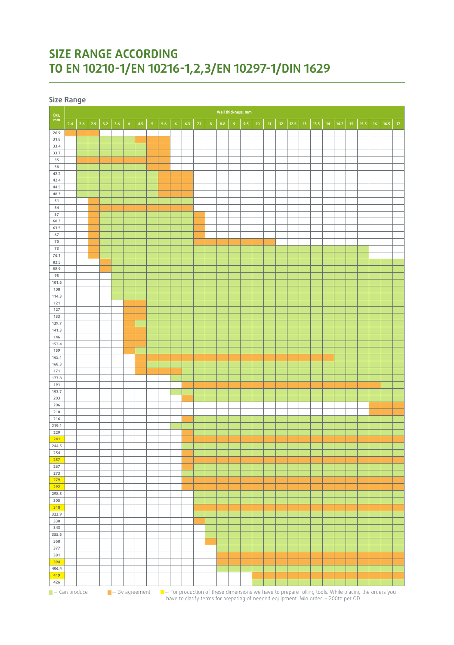# **SIZE RANGE ACCORDING TO EN 10210-1/EN 10216-1,2,3/EN 10297-1/DIN 1629**

**Size Range**

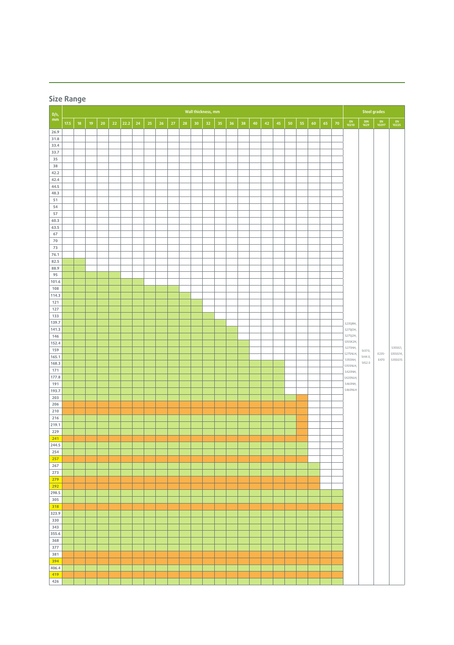|                | Size Range |            |                    |        |        |      |            |    |                 |        |    |                 |    |    |    |    |                     |    |    |            |    |    |    |        |                      |                              |                    |                                |
|----------------|------------|------------|--------------------|--------|--------|------|------------|----|-----------------|--------|----|-----------------|----|----|----|----|---------------------|----|----|------------|----|----|----|--------|----------------------|------------------------------|--------------------|--------------------------------|
| D/s,           |            |            | Wall thickness, mm |        |        |      |            |    |                 |        |    |                 |    |    |    |    | <b>Steel grades</b> |    |    |            |    |    |    |        |                      |                              |                    |                                |
| $mm\,$         | $17.5\,$   | ${\bf 18}$ | $19\,$             | $20\,$ | $22\,$ | 22.2 | ${\bf 24}$ | 25 | 26 <sub>2</sub> | $27\,$ | 28 | 30 <sub>o</sub> | 32 | 35 | 36 | 38 | ${\bf 40}$          | 42 | 45 | ${\bf 50}$ | 55 | 60 | 65 | $70\,$ | EN<br>10210          | $\frac{\text{DIN}}{1629}$    | $\frac{EN}{10297}$ | $\frac{\text{EN}}{10225}$      |
| 26.9<br>31.8   |            |            |                    |        |        |      |            |    |                 |        |    |                 |    |    |    |    |                     |    |    |            |    |    |    |        |                      |                              |                    | S355G1,<br>S355G14,<br>S355G15 |
| 33.4           |            |            |                    |        |        |      |            |    |                 |        |    |                 |    |    |    |    |                     |    |    |            |    |    |    |        |                      |                              |                    |                                |
| 33.7<br>35     |            |            |                    |        |        |      |            |    |                 |        |    |                 |    |    |    |    |                     |    |    |            |    |    |    |        |                      |                              |                    |                                |
| 38             |            |            |                    |        |        |      |            |    |                 |        |    |                 |    |    |    |    |                     |    |    |            |    |    |    |        |                      |                              |                    |                                |
| 42.2<br>42.4   |            |            |                    |        |        |      |            |    |                 |        |    |                 |    |    |    |    |                     |    |    |            |    |    |    |        |                      |                              |                    |                                |
| 44.5           |            |            |                    |        |        |      |            |    |                 |        |    |                 |    |    |    |    |                     |    |    |            |    |    |    |        |                      |                              |                    |                                |
| 48.3<br>51     |            |            |                    |        |        |      |            |    |                 |        |    |                 |    |    |    |    |                     |    |    |            |    |    |    |        |                      |                              |                    |                                |
| 54             |            |            |                    |        |        |      |            |    |                 |        |    |                 |    |    |    |    |                     |    |    |            |    |    |    |        |                      |                              |                    |                                |
| 57<br>60.3     |            |            |                    |        |        |      |            |    |                 |        |    |                 |    |    |    |    |                     |    |    |            |    |    |    |        |                      |                              |                    |                                |
| 63.5           |            |            |                    |        |        |      |            |    |                 |        |    |                 |    |    |    |    |                     |    |    |            |    |    |    |        |                      |                              |                    |                                |
| 67<br>$70$     |            |            |                    |        |        |      |            |    |                 |        |    |                 |    |    |    |    |                     |    |    |            |    |    |    |        |                      | St37.0,<br>St44.0,<br>St52.0 | E235-<br>E470      |                                |
| 73             |            |            |                    |        |        |      |            |    |                 |        |    |                 |    |    |    |    |                     |    |    |            |    |    |    |        |                      |                              |                    |                                |
| 76.1<br>82.5   |            |            |                    |        |        |      |            |    |                 |        |    |                 |    |    |    |    |                     |    |    |            |    |    |    |        |                      |                              |                    |                                |
| 88.9           |            |            |                    |        |        |      |            |    |                 |        |    |                 |    |    |    |    |                     |    |    |            |    |    |    |        |                      |                              |                    |                                |
| 95<br>101.6    |            |            |                    |        |        |      |            |    |                 |        |    |                 |    |    |    |    |                     |    |    |            |    |    |    |        |                      |                              |                    |                                |
| 108            |            |            |                    |        |        |      |            |    |                 |        |    |                 |    |    |    |    |                     |    |    |            |    |    |    |        |                      |                              |                    |                                |
| 114.3<br>121   |            |            |                    |        |        |      |            |    |                 |        |    |                 |    |    |    |    |                     |    |    |            |    |    |    |        |                      |                              |                    |                                |
| 127            |            |            |                    |        |        |      |            |    |                 |        |    |                 |    |    |    |    |                     |    |    |            |    |    |    |        |                      |                              |                    |                                |
| 133<br>139.7   |            |            |                    |        |        |      |            |    |                 |        |    |                 |    |    |    |    |                     |    |    |            |    |    |    |        | S235JRH,             |                              |                    |                                |
| 141.3          |            |            |                    |        |        |      |            |    |                 |        |    |                 |    |    |    |    |                     |    |    |            |    |    |    |        | S275J0H,             |                              |                    |                                |
| 146<br>152.4   |            |            |                    |        |        |      |            |    |                 |        |    |                 |    |    |    |    |                     |    |    |            |    |    |    |        | S275J2H,<br>S355K2H, |                              |                    |                                |
| 159            |            |            |                    |        |        |      |            |    |                 |        |    |                 |    |    |    |    |                     |    |    |            |    |    |    |        | S275NH,<br>S275NLH,  |                              |                    |                                |
| 165.1<br>168.3 |            |            |                    |        |        |      |            |    |                 |        |    |                 |    |    |    |    |                     |    |    |            |    |    |    |        | S355NH,<br>S355NLH,  |                              |                    |                                |
| 171            |            |            |                    |        |        |      |            |    |                 |        |    |                 |    |    |    |    |                     |    |    |            |    |    |    |        | S420NH,              |                              |                    |                                |
| 177.8<br>191   |            |            |                    |        |        |      |            |    |                 |        |    |                 |    |    |    |    |                     |    |    |            |    |    |    |        | S420NLH,<br>S460NH,  |                              |                    |                                |
| 193.7          |            |            |                    |        |        |      |            |    |                 |        |    |                 |    |    |    |    |                     |    |    |            |    |    |    |        | S460NLH              |                              |                    |                                |
| 203<br>206     |            |            |                    |        |        |      |            |    |                 |        |    |                 |    |    |    |    |                     |    |    |            |    |    |    |        |                      |                              |                    |                                |
| 210            |            |            |                    |        |        |      |            |    |                 |        |    |                 |    |    |    |    |                     |    |    |            |    |    |    |        |                      |                              |                    |                                |
| 216<br>219.1   |            |            |                    |        |        |      |            |    |                 |        |    |                 |    |    |    |    |                     |    |    |            |    |    |    |        |                      |                              |                    |                                |
| 229            |            |            |                    |        |        |      |            |    |                 |        |    |                 |    |    |    |    |                     |    |    |            |    |    |    |        |                      |                              |                    |                                |
| 241<br>244.5   |            |            |                    |        |        |      |            |    |                 |        |    |                 |    |    |    |    |                     |    |    |            |    |    |    |        |                      |                              |                    |                                |
| 254            |            |            |                    |        |        |      |            |    |                 |        |    |                 |    |    |    |    |                     |    |    |            |    |    |    |        |                      |                              |                    |                                |
| 257<br>267     |            |            |                    |        |        |      |            |    |                 |        |    |                 |    |    |    |    |                     |    |    |            |    |    |    |        |                      |                              |                    |                                |
| 273            |            |            |                    |        |        |      |            |    |                 |        |    |                 |    |    |    |    |                     |    |    |            |    |    |    |        |                      |                              |                    |                                |
| 279<br>292     |            |            |                    |        |        |      |            |    |                 |        |    |                 |    |    |    |    |                     |    |    |            |    |    |    |        |                      |                              |                    |                                |
| 298.5          |            |            |                    |        |        |      |            |    |                 |        |    |                 |    |    |    |    |                     |    |    |            |    |    |    |        |                      |                              |                    |                                |
| 305<br>318     |            |            |                    |        |        |      |            |    |                 |        |    |                 |    |    |    |    |                     |    |    |            |    |    |    |        |                      |                              |                    |                                |
| 323.9          |            |            |                    |        |        |      |            |    |                 |        |    |                 |    |    |    |    |                     |    |    |            |    |    |    |        |                      |                              |                    |                                |
| 330<br>343     |            |            |                    |        |        |      |            |    |                 |        |    |                 |    |    |    |    |                     |    |    |            |    |    |    |        |                      |                              |                    |                                |
| 355.6          |            |            |                    |        |        |      |            |    |                 |        |    |                 |    |    |    |    |                     |    |    |            |    |    |    |        |                      |                              |                    |                                |
| 368<br>377     |            |            |                    |        |        |      |            |    |                 |        |    |                 |    |    |    |    |                     |    |    |            |    |    |    |        |                      |                              |                    |                                |
| 381            |            |            |                    |        |        |      |            |    |                 |        |    |                 |    |    |    |    |                     |    |    |            |    |    |    |        |                      |                              |                    |                                |
| 394<br>406.4   |            |            |                    |        |        |      |            |    |                 |        |    |                 |    |    |    |    |                     |    |    |            |    |    |    |        |                      |                              |                    |                                |
| 419            |            |            |                    |        |        |      |            |    |                 |        |    |                 |    |    |    |    |                     |    |    |            |    |    |    |        |                      |                              |                    |                                |
| 426            |            |            |                    |        |        |      |            |    |                 |        |    |                 |    |    |    |    |                     |    |    |            |    |    |    |        |                      |                              |                    |                                |